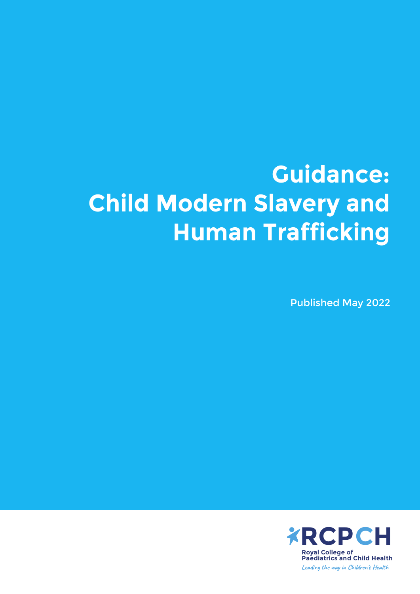# **Guidance: Child Modern Slavery and Human Trafficking**

Published May 2022

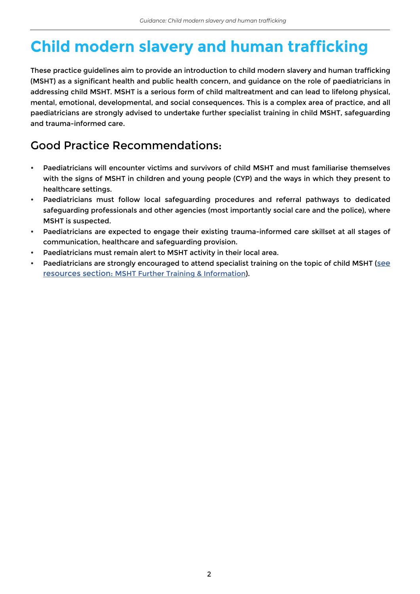## **Child modern slavery and human trafficking**

These practice guidelines aim to provide an introduction to child modern slavery and human trafficking (MSHT) as a significant health and public health concern, and guidance on the role of paediatricians in addressing child MSHT. MSHT is a serious form of child maltreatment and can lead to lifelong physical, mental, emotional, developmental, and social consequences. This is a complex area of practice, and all paediatricians are strongly advised to undertake further specialist training in child MSHT, safeguarding and trauma-informed care.

## Good Practice Recommendations:

- Paediatricians will encounter victims and survivors of child MSHT and must familiarise themselves with the signs of MSHT in children and young people (CYP) and the ways in which they present to healthcare settings.
- Paediatricians must follow local safeguarding procedures and referral pathways to dedicated safeguarding professionals and other agencies (most importantly social care and the police), where MSHT is suspected.
- Paediatricians are expected to engage their existing trauma-informed care skillset at all stages of communication, healthcare and safeguarding provision.
- Paediatricians must remain alert to MSHT activity in their local area.
- Paediatricians are strongly encouraged to attend specialist training on the topic of child MSHT ([see](#page-16-0) [resources section: MSHT Further Training & Information](#page-16-0)).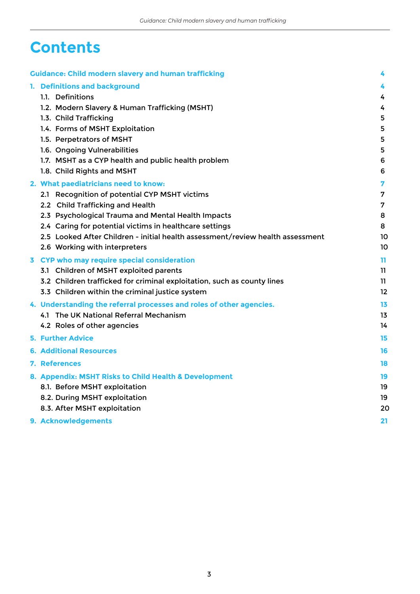## **Contents**

|  | <b>Guidance: Child modern slavery and human trafficking</b>                    | 4                       |
|--|--------------------------------------------------------------------------------|-------------------------|
|  | 1. Definitions and background                                                  | 4                       |
|  | 1.1. Definitions                                                               | 4                       |
|  | 1.2. Modern Slavery & Human Trafficking (MSHT)                                 | 4                       |
|  | 1.3. Child Trafficking                                                         | 5                       |
|  | 1.4. Forms of MSHT Exploitation                                                | 5                       |
|  | 1.5. Perpetrators of MSHT                                                      | 5                       |
|  | 1.6. Ongoing Vulnerabilities                                                   | 5                       |
|  | 1.7. MSHT as a CYP health and public health problem                            | 6                       |
|  | 1.8. Child Rights and MSHT                                                     | 6                       |
|  | 2. What paediatricians need to know:                                           | $\overline{\mathbf{z}}$ |
|  | 2.1 Recognition of potential CYP MSHT victims                                  | 7                       |
|  | 2.2 Child Trafficking and Health                                               | 7                       |
|  | 2.3 Psychological Trauma and Mental Health Impacts                             | 8                       |
|  | 2.4 Caring for potential victims in healthcare settings                        | 8                       |
|  | 2.5 Looked After Children - initial health assessment/review health assessment | 10                      |
|  | 2.6 Working with interpreters                                                  | 10                      |
|  | 3 CYP who may require special consideration                                    | 11.                     |
|  | 3.1 Children of MSHT exploited parents                                         | 11                      |
|  | 3.2 Children trafficked for criminal exploitation, such as county lines        | 11.                     |
|  | 3.3 Children within the criminal justice system                                | 12                      |
|  | 4. Understanding the referral processes and roles of other agencies.           | 13                      |
|  | 4.1 The UK National Referral Mechanism                                         | 13                      |
|  | 4.2 Roles of other agencies                                                    | 14                      |
|  | <b>5. Further Advice</b>                                                       | 15                      |
|  | <b>6. Additional Resources</b>                                                 | 16                      |
|  | <b>7. References</b>                                                           | 18                      |
|  | 8. Appendix: MSHT Risks to Child Health & Development                          | 19                      |
|  | 8.1. Before MSHT exploitation                                                  | 19                      |
|  | 8.2. During MSHT exploitation                                                  | 19                      |
|  | 8.3. After MSHT exploitation                                                   | 20                      |
|  | 9. Acknowledgements                                                            | 21                      |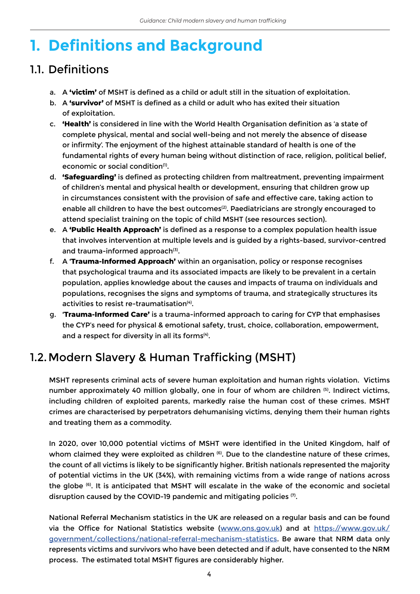## **1. Definitions and Background**

## 1.1. Definitions

- a. A **'victim'** of MSHT is defined as a child or adult still in the situation of exploitation.
- b. A **'survivor'** of MSHT is defined as a child or adult who has exited their situation of exploitation.
- c. **'Health'** is considered in line with the World Health Organisation definition as 'a state of complete physical, mental and social well-being and not merely the absence of disease or infirmity'. The enjoyment of the highest attainable standard of health is one of the fundamental rights of every human being without distinction of race, religion, political belief, economic or social condition<sup>(1)</sup>.
- d. **'Safeguarding'** is defined as protecting children from maltreatment, preventing impairment of children's mental and physical health or development, ensuring that children grow up in circumstances consistent with the provision of safe and effective care, taking action to enable all children to have the best outcomes<sup>(2)</sup>. Paediatricians are strongly encouraged to attend specialist training on the topic of child MSHT (see resources section).
- e. A **'Public Health Approach'** is defined as a response to a complex population health issue that involves intervention at multiple levels and is guided by a rights-based, survivor-centred and trauma-informed approach<sup>(3)</sup>.
- f. A **'Trauma-Informed Approach'** within an organisation, policy or response recognises that psychological trauma and its associated impacts are likely to be prevalent in a certain population, applies knowledge about the causes and impacts of trauma on individuals and populations, recognises the signs and symptoms of trauma, and strategically structures its activities to resist re-traumatisation<sup>(4)</sup>.
- g. **'Trauma-Informed Care'** is a trauma-informed approach to caring for CYP that emphasises the CYP's need for physical & emotional safety, trust, choice, collaboration, empowerment, and a respect for diversity in all its forms<sup>(4)</sup>.

## 1.2.Modern Slavery & Human Trafficking (MSHT)

MSHT represents criminal acts of severe human exploitation and human rights violation. Victims number approximately 40 million globally, one in four of whom are children (5). Indirect victims, including children of exploited parents, markedly raise the human cost of these crimes. MSHT crimes are characterised by perpetrators dehumanising victims, denying them their human rights and treating them as a commodity.

In 2020, over 10,000 potential victims of MSHT were identified in the United Kingdom, half of whom claimed they were exploited as children (6). Due to the clandestine nature of these crimes, the count of all victims is likely to be significantly higher. British nationals represented the majority of potential victims in the UK (34%), with remaining victims from a wide range of nations across the globe (6). It is anticipated that MSHT will escalate in the wake of the economic and societal disruption caused by the COVID-19 pandemic and mitigating policies  $(7)$ .

National Referral Mechanism statistics in the UK are released on a regular basis and can be found via the Office for National Statistics website ([www.ons.gov.uk](http://www.ons.gov.uk)) and at [https://www.gov.uk/](https://www.gov.uk/government/collections/national-referral-mechanism-statistics) [government/collections/national-referral-mechanism-statistics.](https://www.gov.uk/government/collections/national-referral-mechanism-statistics) Be aware that NRM data only represents victims and survivors who have been detected and if adult, have consented to the NRM process. The estimated total MSHT figures are considerably higher.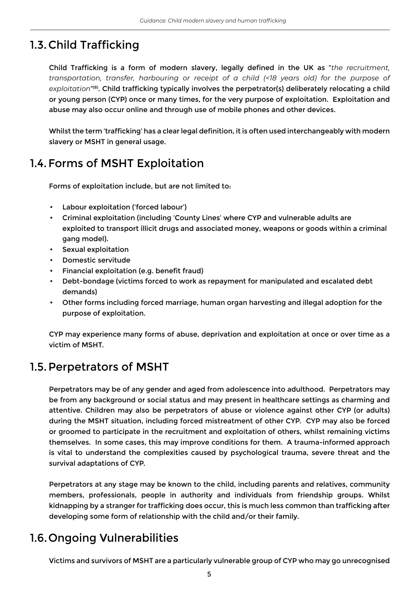## 1.3.Child Trafficking

Child Trafficking is a form of modern slavery, legally defined in the UK as "*the recruitment, transportation, transfer, harbouring or receipt of a child (<18 years old) for the purpose of exploitation*"(8). Child trafficking typically involves the perpetrator(s) deliberately relocating a child or young person (CYP) once or many times, for the very purpose of exploitation. Exploitation and abuse may also occur online and through use of mobile phones and other devices.

Whilst the term 'trafficking' has a clear legal definition, it is often used interchangeably with modern slavery or MSHT in general usage.

## 1.4.Forms of MSHT Exploitation

Forms of exploitation include, but are not limited to:

- Labour exploitation ('forced labour')
- Criminal exploitation (including 'County Lines' where CYP and vulnerable adults are exploited to transport illicit drugs and associated money, weapons or goods within a criminal gang model).
- Sexual exploitation
- Domestic servitude
- Financial exploitation (e.g. benefit fraud)
- Debt-bondage (victims forced to work as repayment for manipulated and escalated debt demands)
- Other forms including forced marriage, human organ harvesting and illegal adoption for the purpose of exploitation.

CYP may experience many forms of abuse, deprivation and exploitation at once or over time as a victim of MSHT.

### 1.5.Perpetrators of MSHT

Perpetrators may be of any gender and aged from adolescence into adulthood. Perpetrators may be from any background or social status and may present in healthcare settings as charming and attentive. Children may also be perpetrators of abuse or violence against other CYP (or adults) during the MSHT situation, including forced mistreatment of other CYP. CYP may also be forced or groomed to participate in the recruitment and exploitation of others, whilst remaining victims themselves. In some cases, this may improve conditions for them. A trauma-informed approach is vital to understand the complexities caused by psychological trauma, severe threat and the survival adaptations of CYP.

Perpetrators at any stage may be known to the child, including parents and relatives, community members, professionals, people in authority and individuals from friendship groups. Whilst kidnapping by a stranger for trafficking does occur, this is much less common than trafficking after developing some form of relationship with the child and/or their family.

### 1.6.Ongoing Vulnerabilities

Victims and survivors of MSHT are a particularly vulnerable group of CYP who may go unrecognised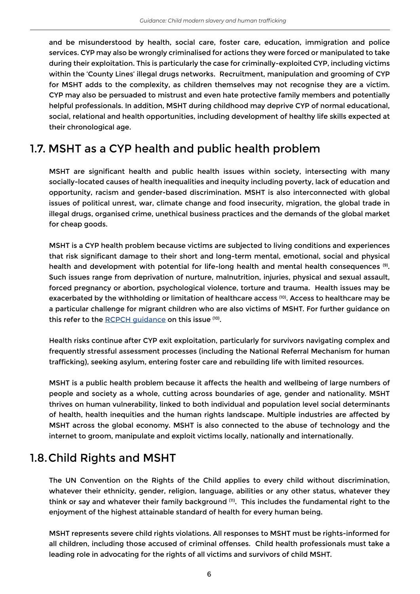and be misunderstood by health, social care, foster care, education, immigration and police services. CYP may also be wrongly criminalised for actions they were forced or manipulated to take during their exploitation. This is particularly the case for criminally-exploited CYP, including victims within the 'County Lines' illegal drugs networks. Recruitment, manipulation and grooming of CYP for MSHT adds to the complexity, as children themselves may not recognise they are a victim. CYP may also be persuaded to mistrust and even hate protective family members and potentially helpful professionals. In addition, MSHT during childhood may deprive CYP of normal educational, social, relational and health opportunities, including development of healthy life skills expected at their chronological age.

## 1.7. MSHT as a CYP health and public health problem

MSHT are significant health and public health issues within society, intersecting with many socially-located causes of health inequalities and inequity including poverty, lack of education and opportunity, racism and gender-based discrimination. MSHT is also interconnected with global issues of political unrest, war, climate change and food insecurity, migration, the global trade in illegal drugs, organised crime, unethical business practices and the demands of the global market for cheap goods.

MSHT is a CYP health problem because victims are subjected to living conditions and experiences that risk significant damage to their short and long-term mental, emotional, social and physical health and development with potential for life-long health and mental health consequences (9). Such issues range from deprivation of nurture, malnutrition, injuries, physical and sexual assault, forced pregnancy or abortion, psychological violence, torture and trauma. Health issues may be exacerbated by the withholding or limitation of healthcare access (10). Access to healthcare may be a particular challenge for migrant children who are also victims of MSHT. For further guidance on this refer to the [RCPCH guidance](https://www.rcpch.ac.uk/resources/right-access-healthcare) on this issue (10).

Health risks continue after CYP exit exploitation, particularly for survivors navigating complex and frequently stressful assessment processes (including the National Referral Mechanism for human trafficking), seeking asylum, entering foster care and rebuilding life with limited resources.

MSHT is a public health problem because it affects the health and wellbeing of large numbers of people and society as a whole, cutting across boundaries of age, gender and nationality. MSHT thrives on human vulnerability, linked to both individual and population level social determinants of health, health inequities and the human rights landscape. Multiple industries are affected by MSHT across the global economy. MSHT is also connected to the abuse of technology and the internet to groom, manipulate and exploit victims locally, nationally and internationally.

### 1.8.Child Rights and MSHT

The UN Convention on the Rights of the Child applies to every child without discrimination, whatever their ethnicity, gender, religion, language, abilities or any other status, whatever they think or say and whatever their family background  $(11)$ . This includes the fundamental right to the enjoyment of the highest attainable standard of health for every human being.

MSHT represents severe child rights violations. All responses to MSHT must be rights-informed for all children, including those accused of criminal offenses. Child health professionals must take a leading role in advocating for the rights of all victims and survivors of child MSHT.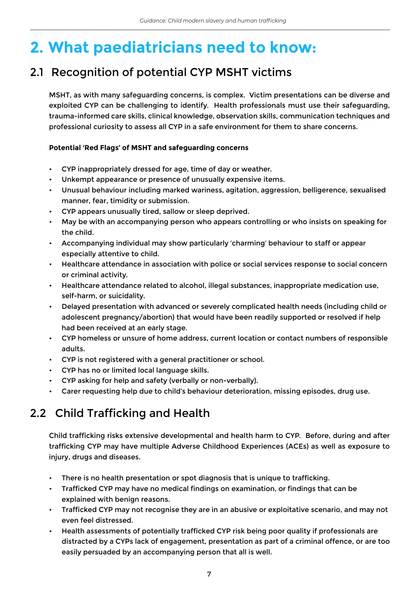## **2. What paediatricians need to know:**

## 2.1 Recognition of potential CYP MSHT victims

MSHT, as with many safeguarding concerns, is complex. Victim presentations can be diverse and exploited CYP can be challenging to identify. Health professionals must use their safeguarding, trauma-informed care skills, clinical knowledge, observation skills, communication techniques and professional curiosity to assess all CYP in a safe environment for them to share concerns.

#### **Potential 'Red Flags' of MSHT and safeguarding concerns**

- CYP inappropriately dressed for age, time of day or weather.
- Unkempt appearance or presence of unusually expensive items.
- Unusual behaviour including marked wariness, agitation, aggression, belligerence, sexualised manner, fear, timidity or submission.
- CYP appears unusually tired, sallow or sleep deprived.
- May be with an accompanying person who appears controlling or who insists on speaking for the child.
- Accompanying individual may show particularly 'charming' behaviour to staff or appear especially attentive to child.
- Healthcare attendance in association with police or social services response to social concern or criminal activity.
- Healthcare attendance related to alcohol, illegal substances, inappropriate medication use, self-harm, or suicidality.
- Delayed presentation with advanced or severely complicated health needs (including child or adolescent pregnancy/abortion) that would have been readily supported or resolved if help had been received at an early stage.
- CYP homeless or unsure of home address, current location or contact numbers of responsible adults.
- CYP is not registered with a general practitioner or school.
- CYP has no or limited local language skills.
- CYP asking for help and safety (verbally or non-verbally).
- Carer requesting help due to child's behaviour deterioration, missing episodes, drug use.

## 2.2 Child Trafficking and Health

Child trafficking risks extensive developmental and health harm to CYP. Before, during and after trafficking CYP may have multiple Adverse Childhood Experiences (ACEs) as well as exposure to injury, drugs and diseases.

- There is no health presentation or spot diagnosis that is unique to trafficking.
- Trafficked CYP may have no medical findings on examination, or findings that can be explained with benign reasons.
- Trafficked CYP may not recognise they are in an abusive or exploitative scenario, and may not even feel distressed.
- Health assessments of potentially trafficked CYP risk being poor quality if professionals are distracted by a CYPs lack of engagement, presentation as part of a criminal offence, or are too easily persuaded by an accompanying person that all is well.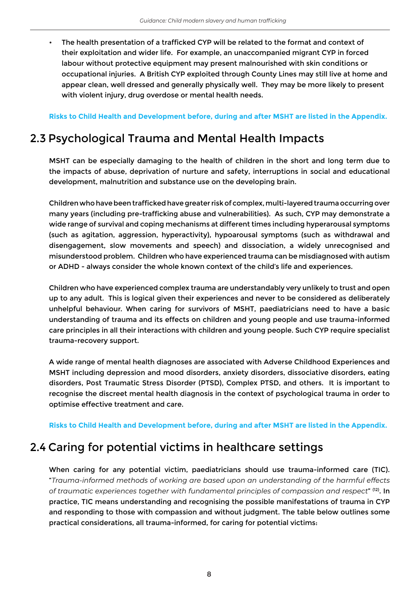The health presentation of a trafficked CYP will be related to the format and context of their exploitation and wider life. For example, an unaccompanied migrant CYP in forced labour without protective equipment may present malnourished with skin conditions or occupational injuries. A British CYP exploited through County Lines may still live at home and appear clean, well dressed and generally physically well. They may be more likely to present with violent injury, drug overdose or mental health needs.

**Risks to Child Health and Development before, during and after MSHT are listed in the Appendix.**

### 2.3 Psychological Trauma and Mental Health Impacts

MSHT can be especially damaging to the health of children in the short and long term due to the impacts of abuse, deprivation of nurture and safety, interruptions in social and educational development, malnutrition and substance use on the developing brain.

Children who have been trafficked have greater risk of complex, multi-layered trauma occurring over many years (including pre-trafficking abuse and vulnerabilities). As such, CYP may demonstrate a wide range of survival and coping mechanisms at different times including hyperarousal symptoms (such as agitation, aggression, hyperactivity), hypoarousal symptoms (such as withdrawal and disengagement, slow movements and speech) and dissociation, a widely unrecognised and misunderstood problem. Children who have experienced trauma can be misdiagnosed with autism or ADHD - always consider the whole known context of the child's life and experiences.

Children who have experienced complex trauma are understandably very unlikely to trust and open up to any adult. This is logical given their experiences and never to be considered as deliberately unhelpful behaviour. When caring for survivors of MSHT, paediatricians need to have a basic understanding of trauma and its effects on children and young people and use trauma-informed care principles in all their interactions with children and young people. Such CYP require specialist trauma-recovery support.

A wide range of mental health diagnoses are associated with Adverse Childhood Experiences and MSHT including depression and mood disorders, anxiety disorders, dissociative disorders, eating disorders, Post Traumatic Stress Disorder (PTSD), Complex PTSD, and others. It is important to recognise the discreet mental health diagnosis in the context of psychological trauma in order to optimise effective treatment and care.

**Risks to Child Health and Development before, during and after MSHT are listed in the Appendix.** 

### 2.4 Caring for potential victims in healthcare settings

When caring for any potential victim, paediatricians should use trauma-informed care (TIC). "*Trauma‑informed methods of working are based upon an understanding of the harmful effects of traumatic experiences together with fundamental principles of compassion and respect*" (12). In practice, TIC means understanding and recognising the possible manifestations of trauma in CYP and responding to those with compassion and without judgment. The table below outlines some practical considerations, all trauma-informed, for caring for potential victims: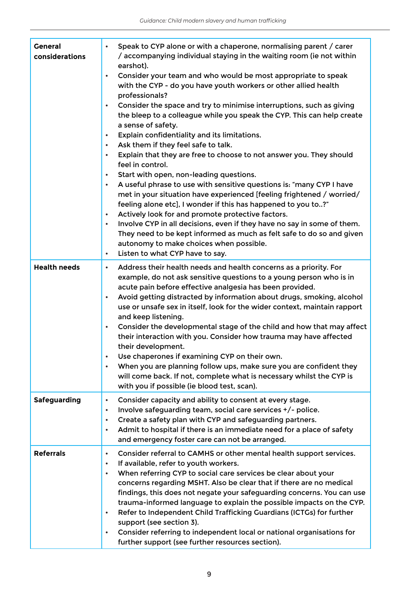| <b>General</b><br>considerations | Speak to CYP alone or with a chaperone, normalising parent / carer<br>$\bullet$<br>/ accompanying individual staying in the waiting room (ie not within<br>earshot).<br>Consider your team and who would be most appropriate to speak<br>$\bullet$<br>with the CYP - do you have youth workers or other allied health<br>professionals?<br>Consider the space and try to minimise interruptions, such as giving<br>$\bullet$<br>the bleep to a colleague while you speak the CYP. This can help create<br>a sense of safety.<br>Explain confidentiality and its limitations.<br>Ask them if they feel safe to talk.<br>$\bullet$<br>Explain that they are free to choose to not answer you. They should<br>$\bullet$<br>feel in control.<br>Start with open, non-leading questions.<br>$\bullet$<br>A useful phrase to use with sensitive questions is: "many CYP I have<br>$\bullet$<br>met in your situation have experienced [feeling frightened / worried/<br>feeling alone etc], I wonder if this has happened to you to?"<br>Actively look for and promote protective factors.<br>$\bullet$<br>Involve CYP in all decisions, even if they have no say in some of them.<br>$\bullet$<br>They need to be kept informed as much as felt safe to do so and given<br>autonomy to make choices when possible.<br>Listen to what CYP have to say.<br>٠ |
|----------------------------------|-------------------------------------------------------------------------------------------------------------------------------------------------------------------------------------------------------------------------------------------------------------------------------------------------------------------------------------------------------------------------------------------------------------------------------------------------------------------------------------------------------------------------------------------------------------------------------------------------------------------------------------------------------------------------------------------------------------------------------------------------------------------------------------------------------------------------------------------------------------------------------------------------------------------------------------------------------------------------------------------------------------------------------------------------------------------------------------------------------------------------------------------------------------------------------------------------------------------------------------------------------------------------------------------------------------------------------------------------------|
| <b>Health needs</b>              | Address their health needs and health concerns as a priority. For<br>$\bullet$<br>example, do not ask sensitive questions to a young person who is in<br>acute pain before effective analgesia has been provided.<br>Avoid getting distracted by information about drugs, smoking, alcohol<br>$\bullet$<br>use or unsafe sex in itself, look for the wider context, maintain rapport<br>and keep listening.<br>Consider the developmental stage of the child and how that may affect<br>$\bullet$<br>their interaction with you. Consider how trauma may have affected<br>their development.<br>Use chaperones if examining CYP on their own.<br>When you are planning follow ups, make sure you are confident they<br>$\bullet$<br>will come back. If not, complete what is necessary whilst the CYP is<br>with you if possible (ie blood test, scan).                                                                                                                                                                                                                                                                                                                                                                                                                                                                                               |
| <b>Safeguarding</b>              | Consider capacity and ability to consent at every stage.<br>$\bullet$<br>Involve safeguarding team, social care services +/- police.<br>$\bullet$<br>Create a safety plan with CYP and safeguarding partners.<br>$\bullet$<br>Admit to hospital if there is an immediate need for a place of safety<br>$\bullet$<br>and emergency foster care can not be arranged.                                                                                                                                                                                                                                                                                                                                                                                                                                                                                                                                                                                                                                                                                                                                                                                                                                                                                                                                                                                    |
| <b>Referrals</b>                 | Consider referral to CAMHS or other mental health support services.<br>$\bullet$<br>If available, refer to youth workers.<br>$\bullet$<br>When referring CYP to social care services be clear about your<br>$\bullet$<br>concerns regarding MSHT. Also be clear that if there are no medical<br>findings, this does not negate your safeguarding concerns. You can use<br>trauma-informed language to explain the possible impacts on the CYP.<br>Refer to Independent Child Trafficking Guardians (ICTGs) for further<br>$\bullet$<br>support (see section 3).<br>Consider referring to independent local or national organisations for<br>$\bullet$<br>further support (see further resources section).                                                                                                                                                                                                                                                                                                                                                                                                                                                                                                                                                                                                                                             |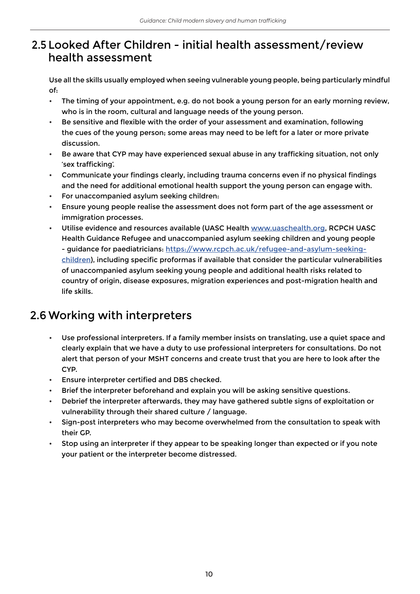### 2.5 Looked After Children - initial health assessment/review health assessment

Use all the skills usually employed when seeing vulnerable young people, being particularly mindful of:

- The timing of your appointment, e.g. do not book a young person for an early morning review, who is in the room, cultural and language needs of the young person.
- Be sensitive and flexible with the order of your assessment and examination, following the cues of the young person; some areas may need to be left for a later or more private discussion.
- Be aware that CYP may have experienced sexual abuse in any trafficking situation, not only 'sex trafficking'.
- Communicate your findings clearly, including trauma concerns even if no physical findings and the need for additional emotional health support the young person can engage with.
- For unaccompanied asylum seeking children:
- Ensure young people realise the assessment does not form part of the age assessment or immigration processes.
- Utilise evidence and resources available (UASC Health [www.uaschealth.org](http://www.uaschealth.org), RCPCH UASC Health Guidance Refugee and unaccompanied asylum seeking children and young people - guidance for paediatricians: [https://](https://www.rcpch.ac.uk/refugee-and-asylum-seeking-children)www.rcpch.ac.uk/refugee-and-asylum-seekingchildren), including specific proformas if available that consider the particular vulnerabilities of unaccompanied asylum seeking young people and additional health risks related to country of origin, disease exposures, migration experiences and post-migration health and life skills.

## 2.6 Working with interpreters

- Use professional interpreters. If a family member insists on translating, use a quiet space and clearly explain that we have a duty to use professional interpreters for consultations. Do not alert that person of your MSHT concerns and create trust that you are here to look after the CYP.
- Ensure interpreter certified and DBS checked.
- Brief the interpreter beforehand and explain you will be asking sensitive questions.
- Debrief the interpreter afterwards, they may have gathered subtle signs of exploitation or vulnerability through their shared culture / language.
- Sign-post interpreters who may become overwhelmed from the consultation to speak with their GP.
- Stop using an interpreter if they appear to be speaking longer than expected or if you note your patient or the interpreter become distressed.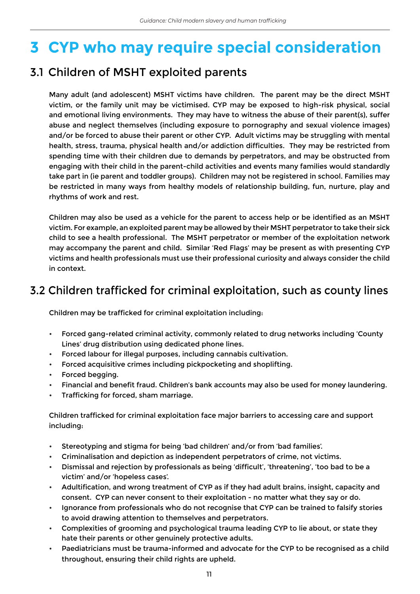## **3 CYP who may require special consideration**

## 3.1 Children of MSHT exploited parents

Many adult (and adolescent) MSHT victims have children. The parent may be the direct MSHT victim, or the family unit may be victimised. CYP may be exposed to high-risk physical, social and emotional living environments. They may have to witness the abuse of their parent(s), suffer abuse and neglect themselves (including exposure to pornography and sexual violence images) and/or be forced to abuse their parent or other CYP. Adult victims may be struggling with mental health, stress, trauma, physical health and/or addiction difficulties. They may be restricted from spending time with their children due to demands by perpetrators, and may be obstructed from engaging with their child in the parent-child activities and events many families would standardly take part in (ie parent and toddler groups). Children may not be registered in school. Families may be restricted in many ways from healthy models of relationship building, fun, nurture, play and rhythms of work and rest.

Children may also be used as a vehicle for the parent to access help or be identified as an MSHT victim. For example, an exploited parent may be allowed by their MSHT perpetrator to take their sick child to see a health professional. The MSHT perpetrator or member of the exploitation network may accompany the parent and child. Similar 'Red Flags' may be present as with presenting CYP victims and health professionals must use their professional curiosity and always consider the child in context.

### 3.2 Children trafficked for criminal exploitation, such as county lines

Children may be trafficked for criminal exploitation including:

- Forced gang-related criminal activity, commonly related to drug networks including 'County Lines' drug distribution using dedicated phone lines.
- Forced labour for illegal purposes, including cannabis cultivation.
- Forced acquisitive crimes including pickpocketing and shoplifting.
- Forced begging.
- Financial and benefit fraud. Children's bank accounts may also be used for money laundering.
- Trafficking for forced, sham marriage.

Children trafficked for criminal exploitation face major barriers to accessing care and support including:

- Stereotyping and stigma for being 'bad children' and/or from 'bad families'.
- Criminalisation and depiction as independent perpetrators of crime, not victims.
- Dismissal and rejection by professionals as being 'difficult', 'threatening', 'too bad to be a victim' and/or 'hopeless cases'.
- Adultification, and wrong treatment of CYP as if they had adult brains, insight, capacity and consent. CYP can never consent to their exploitation - no matter what they say or do.
- Ignorance from professionals who do not recognise that CYP can be trained to falsify stories to avoid drawing attention to themselves and perpetrators.
- Complexities of grooming and psychological trauma leading CYP to lie about, or state they hate their parents or other genuinely protective adults.
- Paediatricians must be trauma-informed and advocate for the CYP to be recognised as a child throughout, ensuring their child rights are upheld.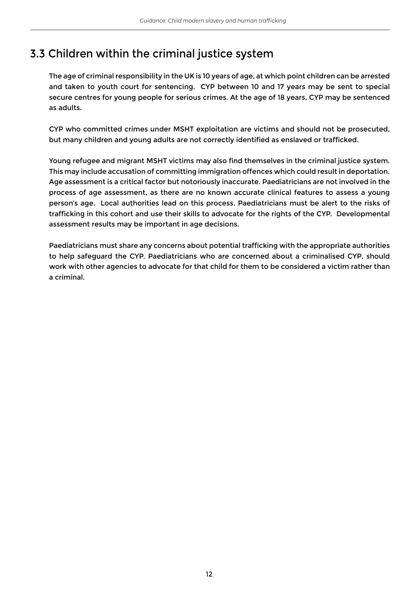## 3.3 Children within the criminal justice system

The age of criminal responsibility in the UK is 10 years of age, at which point children can be arrested and taken to youth court for sentencing. CYP between 10 and 17 years may be sent to special secure centres for young people for serious crimes. At the age of 18 years, CYP may be sentenced as adults.

CYP who committed crimes under MSHT exploitation are victims and should not be prosecuted, but many children and young adults are not correctly identified as enslaved or trafficked.

Young refugee and migrant MSHT victims may also find themselves in the criminal justice system. This may include accusation of committing immigration offences which could result in deportation. Age assessment is a critical factor but notoriously inaccurate. Paediatricians are not involved in the process of age assessment, as there are no known accurate clinical features to assess a young person's age. Local authorities lead on this process. Paediatricians must be alert to the risks of trafficking in this cohort and use their skills to advocate for the rights of the CYP. Developmental assessment results may be important in age decisions.

Paediatricians must share any concerns about potential trafficking with the appropriate authorities to help safeguard the CYP. Paediatricians who are concerned about a criminalised CYP, should work with other agencies to advocate for that child for them to be considered a victim rather than a criminal.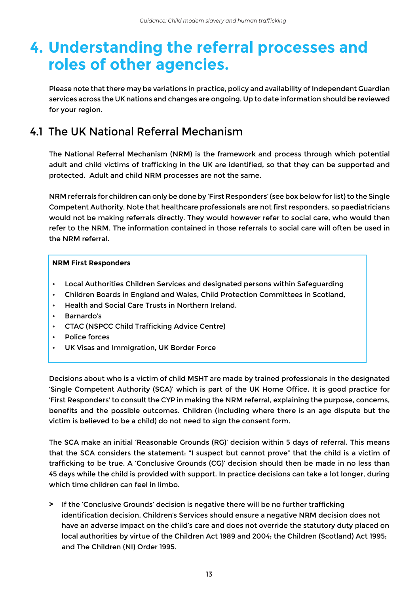## **4. Understanding the referral processes and roles of other agencies.**

Please note that there may be variations in practice, policy and availability of Independent Guardian services across the UK nations and changes are ongoing. Up to date information should be reviewed for your region.

### 4.1 The UK National Referral Mechanism

The National Referral Mechanism (NRM) is the framework and process through which potential adult and child victims of trafficking in the UK are identified, so that they can be supported and protected. Adult and child NRM processes are not the same.

NRM referrals for children can only be done by 'First Responders' (see box below for list) to the Single Competent Authority. Note that healthcare professionals are not first responders, so paediatricians would not be making referrals directly. They would however refer to social care, who would then refer to the NRM. The information contained in those referrals to social care will often be used in the NRM referral.

#### **NRM First Responders**

- Local Authorities Children Services and designated persons within Safeguarding
- Children Boards in England and Wales, Child Protection Committees in Scotland,
- Health and Social Care Trusts in Northern Ireland.
- Barnardo's
- CTAC (NSPCC Child Trafficking Advice Centre)
- Police forces
- UK Visas and Immigration, UK Border Force

Decisions about who is a victim of child MSHT are made by trained professionals in the designated 'Single Competent Authority (SCA)' which is part of the UK Home Office. It is good practice for 'First Responders' to consult the CYP in making the NRM referral, explaining the purpose, concerns, benefits and the possible outcomes. Children (including where there is an age dispute but the victim is believed to be a child) do not need to sign the consent form.

The SCA make an initial 'Reasonable Grounds (RG)' decision within 5 days of referral. This means that the SCA considers the statement: "I suspect but cannot prove" that the child is a victim of trafficking to be true. A 'Conclusive Grounds (CG)' decision should then be made in no less than 45 days while the child is provided with support. In practice decisions can take a lot longer, during which time children can feel in limbo.

**>** If the 'Conclusive Grounds' decision is negative there will be no further trafficking identification decision. Children's Services should ensure a negative NRM decision does not have an adverse impact on the child's care and does not override the statutory duty placed on local authorities by virtue of the Children Act 1989 and 2004; the Children (Scotland) Act 1995; and The Children (NI) Order 1995.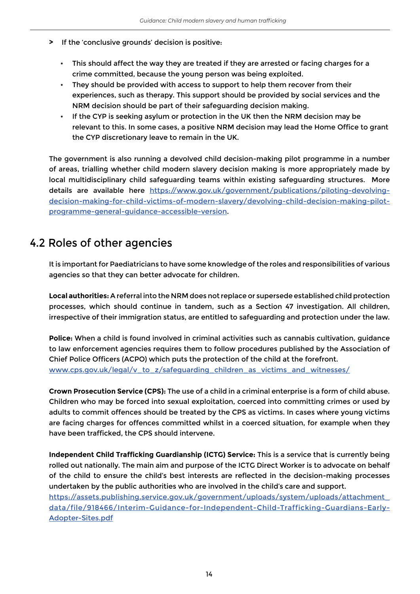- **>** If the 'conclusive grounds' decision is positive:
	- This should affect the way they are treated if they are arrested or facing charges for a crime committed, because the young person was being exploited.
	- They should be provided with access to support to help them recover from their experiences, such as therapy. This support should be provided by social services and the NRM decision should be part of their safeguarding decision making.
	- If the CYP is seeking asylum or protection in the UK then the NRM decision may be relevant to this. In some cases, a positive NRM decision may lead the Home Office to grant the CYP discretionary leave to remain in the UK.

The government is also running a devolved child decision-making pilot programme in a number of areas, trialling whether child modern slavery decision making is more appropriately made by local multidisciplinary child safeguarding teams within existing safeguarding structures. More details are available here [https://www.gov.uk/government/publications/piloting-devolving](https://www.gov.uk/government/publications/piloting-devolving-decision-making-for-child-victims-of-m)[decision-making-for-child-victims-of-modern-slavery/devolving-child-decision-making-pilot](https://www.gov.uk/government/publications/piloting-devolving-decision-making-for-child-victims-of-m)[programme-general-guidance-accessible-version.](https://www.gov.uk/government/publications/piloting-devolving-decision-making-for-child-victims-of-m)

### 4.2 Roles of other agencies

It is important for Paediatricians to have some knowledge of the roles and responsibilities of various agencies so that they can better advocate for children.

**Local authorities:** A referral into the NRM does not replace or supersede established child protection processes, which should continue in tandem, such as a Section 47 investigation. All children, irrespective of their immigration status, are entitled to safeguarding and protection under the law.

**Police:** When a child is found involved in criminal activities such as cannabis cultivation, guidance to law enforcement agencies requires them to follow procedures published by the Association of Chief Police Officers (ACPO) which puts the protection of the child at the forefront. [www.cps.gov.uk/legal/v\\_to\\_z/safeguarding\\_children\\_as\\_victims\\_and\\_witnesses/](http://www.cps.gov.uk/legal/v_to_z/safeguarding_children_as_victims_and_witnesses/)

**Crown Prosecution Service (CPS):** The use of a child in a criminal enterprise is a form of child abuse. Children who may be forced into sexual exploitation, coerced into committing crimes or used by adults to commit offences should be treated by the CPS as victims. In cases where young victims are facing charges for offences committed whilst in a coerced situation, for example when they have been trafficked, the CPS should intervene.

**Independent Child Trafficking Guardianship (ICTG) Service:** This is a service that is currently being rolled out nationally. The main aim and purpose of the ICTG Direct Worker is to advocate on behalf of the child to ensure the child's best interests are reflected in the decision-making processes undertaken by the public authorities who are involved in the child's care and support. [https://assets.publishing.service.gov.uk/government/uploads/system/uploads/attachment\\_](https://assets.publishing.service.gov.uk/government/uploads/system/uploads/attachment_data/file/918466/Interim-Guidance-for-Independent-Child-Trafficking-Guardians-Early-Adopter-Sites.pdf) [data/file/918466/Interim-Guidance-for-Independent-Child-Trafficking-Guardians-Early-](https://assets.publishing.service.gov.uk/government/uploads/system/uploads/attachment_data/file/918466/Interim-Guidance-for-Independent-Child-Trafficking-Guardians-Early-Adopter-Sites.pdf)[Adopter-Sites.pdf](https://assets.publishing.service.gov.uk/government/uploads/system/uploads/attachment_data/file/918466/Interim-Guidance-for-Independent-Child-Trafficking-Guardians-Early-Adopter-Sites.pdf)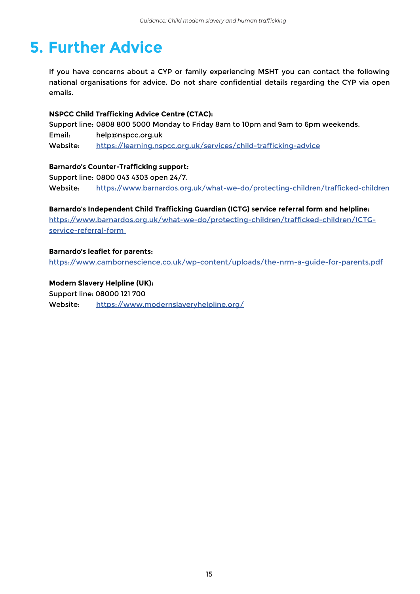## **5. Further Advice**

If you have concerns about a CYP or family experiencing MSHT you can contact the following national organisations for advice. Do not share confidential details regarding the CYP via open emails.

#### **NSPCC Child Trafficking Advice Centre (CTAC):**

Support line: 0808 800 5000 Monday to Friday 8am to 10pm and 9am to 6pm weekends. Email: help@nspcc.org.uk Website: [https://learning.nspcc.org.uk/services/child-trafficking-advice](https://learning.nspcc.org.uk/services/child-trafficking-advice )

#### **Barnardo's Counter-Trafficking support:**

Support line: 0800 043 4303 open 24/7. Website: [https://www.barnardos.org.uk/what-we-do/protecting-children/trafficked-children](https://www.barnardos.org.uk/what-we-do/protecting-children/trafficked-children )

**Barnardo's Independent Child Trafficking Guardian (ICTG) service referral form and helpline:** [https://www.barnardos.org.uk/what-we-do/protecting-children/trafficked-children/ICTG](https://www.barnardos.org.uk/what-we-do/protecting-children/trafficked-children/ICTG-service-referral-form )[service-referral-form](https://www.barnardos.org.uk/what-we-do/protecting-children/trafficked-children/ICTG-service-referral-form ) 

#### **Barnardo's leaflet for parents:**

<https://www.cambornescience.co.uk/wp-content/uploads/the-nrm-a-guide-for-parents.pdf>

**Modern Slavery Helpline (UK):**  Support line: 08000 121 700 Website: <https://www.modernslaveryhelpline.org/>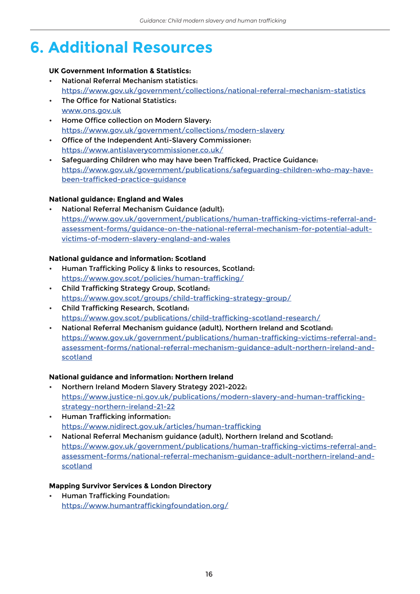## **6. Additional Resources**

#### **UK Government Information & Statistics:**

- National Referral Mechanism statistics: <https://www.gov.uk/government/collections/national-referral-mechanism-statistics>
- The Office for National Statistics: [www.ons.gov.uk](http://www.ons.gov.uk)
- Home Office collection on Modern Slavery: <https://www.gov.uk/government/collections/modern-slavery>
- Office of the Independent Anti-Slavery Commissioner: <https://www.antislaverycommissioner.co.uk/>
- Safeguarding Children who may have been Trafficked, Practice Guidance: [https://www.gov.uk/government/publications/safeguarding-children-who-may-have](https://www.gov.uk/government/publications/safeguarding-children-who-may-have-been-trafficked-practice-guidance)[been-trafficked-practice-guidance](https://www.gov.uk/government/publications/safeguarding-children-who-may-have-been-trafficked-practice-guidance)

#### **National guidance: England and Wales**

• National Referral Mechanism Guidance (adult): [https://www.gov.uk/government/publications/human-trafficking-victims-referral-and](https://www.gov.uk/government/publications/human-trafficking-victims-referral-and-assessment-forms/guidance-on-the-national-referral-mechanism-for-potential-adult-victims-of-modern-slavery-england-and-wales)[assessment-forms/guidance-on-the-national-referral-mechanism-for-potential-adult](https://www.gov.uk/government/publications/human-trafficking-victims-referral-and-assessment-forms/guidance-on-the-national-referral-mechanism-for-potential-adult-victims-of-modern-slavery-england-and-wales)[victims-of-modern-slavery-england-and-wales](https://www.gov.uk/government/publications/human-trafficking-victims-referral-and-assessment-forms/guidance-on-the-national-referral-mechanism-for-potential-adult-victims-of-modern-slavery-england-and-wales)

#### **National guidance and information: Scotland**

- Human Trafficking Policy & links to resources, Scotland: <https://www.gov.scot/policies/human-trafficking/>
- Child Trafficking Strategy Group, Scotland: <https://www.gov.scot/groups/child-trafficking-strategy-group/>
- Child Trafficking Research, Scotland: <https://www.gov.scot/publications/child-trafficking-scotland-research/>
- National Referral Mechanism guidance (adult), Northern Ireland and Scotland: [https://www.gov.uk/government/publications/human-trafficking-victims-referral-and](https://www.gov.uk/government/publications/human-trafficking-victims-referral-and-assessment-forms/national-referral-mechanism-guidance-adult-northern-ireland-and-scotland)[assessment-forms/national-referral-mechanism-guidance-adult-northern-ireland-and](https://www.gov.uk/government/publications/human-trafficking-victims-referral-and-assessment-forms/national-referral-mechanism-guidance-adult-northern-ireland-and-scotland)[scotland](https://www.gov.uk/government/publications/human-trafficking-victims-referral-and-assessment-forms/national-referral-mechanism-guidance-adult-northern-ireland-and-scotland)

#### **National guidance and information: Northern Ireland**

- Northern Ireland Modern Slavery Strategy 2021-2022: [https://www.justice-ni.gov.uk/publications/modern-slavery-and-human-trafficking](https://www.justice-ni.gov.uk/publications/modern-slavery-and-human-trafficking-strategy-northern-ireland-21-22)[strategy-northern-ireland-21-22](https://www.justice-ni.gov.uk/publications/modern-slavery-and-human-trafficking-strategy-northern-ireland-21-22)
- Human Trafficking information: <https://www.nidirect.gov.uk/articles/human-trafficking>
- National Referral Mechanism guidance (adult), Northern Ireland and Scotland: [https://www.gov.uk/government/publications/human-trafficking-victims-referral-and](https://www.gov.uk/government/publications/human-trafficking-victims-referral-and-assessment-forms/national-referral-mechanism-guidance-adult-northern-ireland-and-scotland)[assessment-forms/national-referral-mechanism-guidance-adult-northern-ireland-and](https://www.gov.uk/government/publications/human-trafficking-victims-referral-and-assessment-forms/national-referral-mechanism-guidance-adult-northern-ireland-and-scotland)[scotland](https://www.gov.uk/government/publications/human-trafficking-victims-referral-and-assessment-forms/national-referral-mechanism-guidance-adult-northern-ireland-and-scotland)

#### **Mapping Survivor Services & London Directory**

• Human Trafficking Foundation: <https://www.humantraffickingfoundation.org/>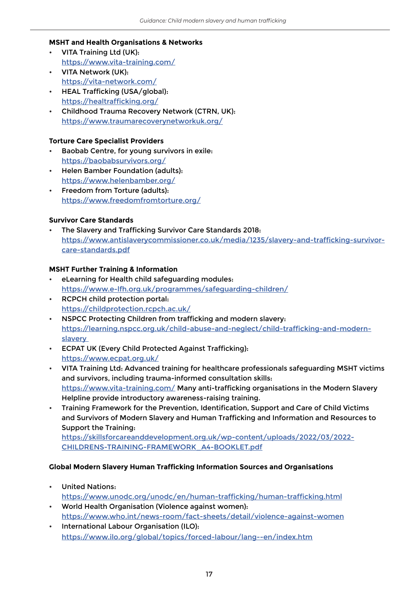#### **MSHT and Health Organisations & Networks**

- VITA Training Ltd (UK): <https://www.vita-training.com/>
- VITA Network (UK): <https://vita-network.com/>
- HEAL Trafficking (USA/global): <https://healtrafficking.org/>
- Childhood Trauma Recovery Network (CTRN, UK): <https://www.traumarecoverynetworkuk.org/>

#### **Torture Care Specialist Providers**

- Baobab Centre, for young survivors in exile: <https://baobabsurvivors.org/>
- Helen Bamber Foundation (adults): <https://www.helenbamber.org/>
- Freedom from Torture (adults): <https://www.freedomfromtorture.org/>

#### **Survivor Care Standards**

• The Slavery and Trafficking Survivor Care Standards 2018: [https://www.antislaverycommissioner.co.uk/media/1235/slavery-and-trafficking-survivor](https://www.antislaverycommissioner.co.uk/media/1235/slavery-and-trafficking-survivor-care-standards.pdf)[care-standards.pdf](https://www.antislaverycommissioner.co.uk/media/1235/slavery-and-trafficking-survivor-care-standards.pdf)

#### <span id="page-16-0"></span>**MSHT Further Training & Information**

- eLearning for Health child safeguarding modules: <https://www.e-lfh.org.uk/programmes/safeguarding-children/>
- RCPCH child protection portal: <https://childprotection.rcpch.ac.uk/>
- NSPCC Protecting Children from trafficking and modern slavery: [https://learning.nspcc.org.uk/child-abuse-and-neglect/child-trafficking-and-modern](https://learning.nspcc.org.uk/child-abuse-and-neglect/child-trafficking-and-modern-slavery  )[slavery](https://learning.nspcc.org.uk/child-abuse-and-neglect/child-trafficking-and-modern-slavery  )
- ECPAT UK (Every Child Protected Against Trafficking): <https://www.ecpat.org.uk/>
- VITA Training Ltd: Advanced training for healthcare professionals safeguarding MSHT victims and survivors, including trauma-informed consultation skills: <https://www.vita-training.com/> Many anti-trafficking organisations in the Modern Slavery Helpline provide introductory awareness-raising training.
- Training Framework for the Prevention, Identification, Support and Care of Child Victims and Survivors of Modern Slavery and Human Trafficking and Information and Resources to Support the Training:

[https://skillsforcareanddevelopment.org.uk/wp-content/uploads/2022/03/2022-](https://skillsforcareanddevelopment.org.uk/wp-content/uploads/2022/03/2022-CHILDRENS-TRAINING-FRAMEWORK_A4-BOOKLET.pdf) [CHILDRENS-TRAINING-FRAMEWORK\\_A4-BOOKLET.pdf](https://skillsforcareanddevelopment.org.uk/wp-content/uploads/2022/03/2022-CHILDRENS-TRAINING-FRAMEWORK_A4-BOOKLET.pdf)

#### **Global Modern Slavery Human Trafficking Information Sources and Organisations**

- United Nations: <https://www.unodc.org/unodc/en/human-trafficking/human-trafficking.html>
- World Health Organisation (Violence against women): <https://www.who.int/news-room/fact-sheets/detail/violence-against-women>
- International Labour Organisation (ILO): <https://www.ilo.org/global/topics/forced-labour/lang--en/index.htm>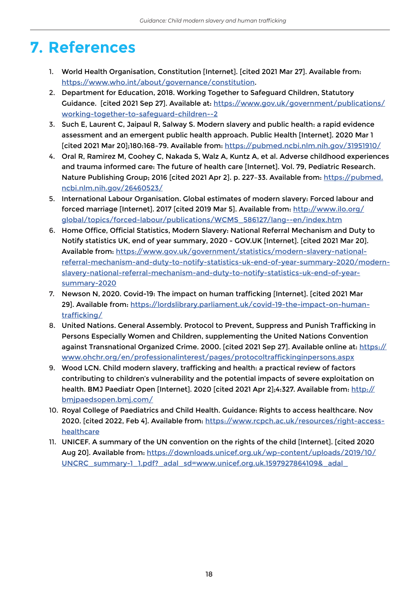## **7. References**

- 1. World Health Organisation, Constitution [Internet]. [cited 2021 Mar 27]. Available from: <https://www.who.int/about/governance/constitution>.
- 2. Department for Education, 2018. Working Together to Safeguard Children, Statutory Guidance. [cited 2021 Sep 27]. Available at: [https://www.gov.uk/government/publications/](https://www.gov.uk/government/publications/working-together-to-safeguard-children--2) [working-together-to-safeguard-children--2](https://www.gov.uk/government/publications/working-together-to-safeguard-children--2)
- 3. Such E, Laurent C, Jaipaul R, Salway S. Modern slavery and public health: a rapid evidence assessment and an emergent public health approach. Public Health [Internet]. 2020 Mar 1 [cited 2021 Mar 20];180:168–79. Available from: <https://pubmed.ncbi.nlm.nih.gov/31951910/>
- 4. Oral R, Ramirez M, Coohey C, Nakada S, Walz A, Kuntz A, et al. Adverse childhood experiences and trauma informed care: The future of health care [Internet]. Vol. 79, Pediatric Research. Nature Publishing Group; 2016 [cited 2021 Apr 2]. p. 227-33. Available from: [https://pubmed.](https://pubmed.ncbi.nlm.nih.gov/26460523/) [ncbi.nlm.nih.gov/26460523/](https://pubmed.ncbi.nlm.nih.gov/26460523/)
- 5. International Labour Organisation. Global estimates of modern slavery: Forced labour and forced marriage [Internet]. 2017 [cited 2019 Mar 5]. Available from: [http://www.ilo.org/](http://www.ilo.org/global/topics/forced-labour/publications/WCMS_586127/lang--en/index.htm) [global/topics/forced-labour/publications/WCMS\\_586127/lang--en/index.htm](http://www.ilo.org/global/topics/forced-labour/publications/WCMS_586127/lang--en/index.htm)
- 6. Home Office, Official Statistics, Modern Slavery: National Referral Mechanism and Duty to Notify statistics UK, end of year summary, 2020 - GOV.UK [Internet]. [cited 2021 Mar 20]. Available from: [https://www.gov.uk/government/statistics/modern-slavery-national](https://www.gov.uk/government/statistics/modern-slavery-national-referral-mechanism-and-duty-to-notify-statistics-uk-end-of-year-summary-2020/modern-slavery-national-referral-mechanism-and-duty-to-notify-statistics-uk-end-of-year-summary-2020)[referral-mechanism-and-duty-to-notify-statistics-uk-end-of-year-summary-2020/modern](https://www.gov.uk/government/statistics/modern-slavery-national-referral-mechanism-and-duty-to-notify-statistics-uk-end-of-year-summary-2020/modern-slavery-national-referral-mechanism-and-duty-to-notify-statistics-uk-end-of-year-summary-2020)[slavery-national-referral-mechanism-and-duty-to-notify-statistics-uk-end-of-year](https://www.gov.uk/government/statistics/modern-slavery-national-referral-mechanism-and-duty-to-notify-statistics-uk-end-of-year-summary-2020/modern-slavery-national-referral-mechanism-and-duty-to-notify-statistics-uk-end-of-year-summary-2020)[summary-2020](https://www.gov.uk/government/statistics/modern-slavery-national-referral-mechanism-and-duty-to-notify-statistics-uk-end-of-year-summary-2020/modern-slavery-national-referral-mechanism-and-duty-to-notify-statistics-uk-end-of-year-summary-2020)
- 7. Newson N, 2020. Covid-19: The impact on human trafficking [Internet]. [cited 2021 Mar 29]. Available from: [https://lordslibrary.parliament.uk/covid-19-the-impact-on-human](https://lordslibrary.parliament.uk/covid-19-the-impact-on-human-trafficking/)[trafficking/](https://lordslibrary.parliament.uk/covid-19-the-impact-on-human-trafficking/)
- 8. United Nations. General Assembly. Protocol to Prevent, Suppress and Punish Trafficking in Persons Especially Women and Children, supplementing the United Nations Convention against Transnational Organized Crime. 2000. [cited 2021 Sep 27]. Available online at: [https://](https://www.ohchr.org/en/professionalinterest/pages/protocoltraffickinginpersons.aspx) [www.ohchr.org/en/professionalinterest/pages/protocoltraffickinginpersons.aspx](https://www.ohchr.org/en/professionalinterest/pages/protocoltraffickinginpersons.aspx)
- 9. Wood LCN. Child modern slavery, trafficking and health: a practical review of factors contributing to children's vulnerability and the potential impacts of severe exploitation on health. BMJ Paediatr Open [Internet]. 2020 [cited 2021 Apr 2];4:327. Available from: [http://](http://bmjpaedsopen.bmj.com/) [bmjpaedsopen.bmj.com/](http://bmjpaedsopen.bmj.com/)
- 10. Royal College of Paediatrics and Child Health. Guidance: Rights to access healthcare. Nov 2020. [cited 2022, Feb 4]. Available from: [https://www.rcpch.ac.uk/resources/right-access](https://www.rcpch.ac.uk/resources/right-access-healthcare)[healthcare](https://www.rcpch.ac.uk/resources/right-access-healthcare)
- 11. UNICEF. A summary of the UN convention on the rights of the child [Internet]. [cited 2020 Aug 20]. Available from: [https://downloads.unicef.org.uk/wp-content/uploads/2019/10/](https://downloads.unicef.org.uk/wp-content/uploads/2019/10/UNCRC_summary-1_1.pdf?_adal_sd=www.unicef.org.uk.1597927864109&_adal_) [UNCRC\\_summary-1\\_1.pdf?\\_adal\\_sd=www.unicef.org.uk.1597927864109&\\_adal\\_](https://downloads.unicef.org.uk/wp-content/uploads/2019/10/UNCRC_summary-1_1.pdf?_adal_sd=www.unicef.org.uk.1597927864109&_adal_)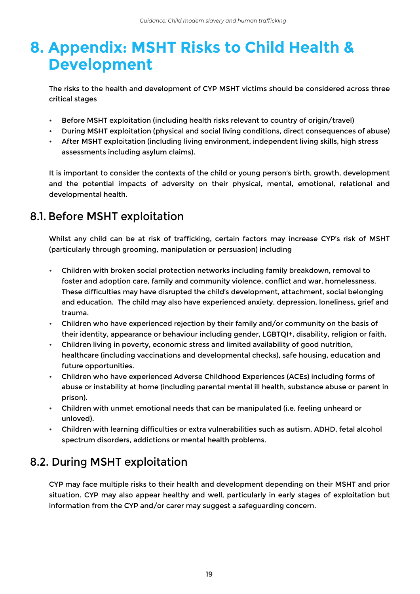## **8. Appendix: MSHT Risks to Child Health & Development**

The risks to the health and development of CYP MSHT victims should be considered across three critical stages

- Before MSHT exploitation (including health risks relevant to country of origin/travel)
- During MSHT exploitation (physical and social living conditions, direct consequences of abuse)
- After MSHT exploitation (including living environment, independent living skills, high stress assessments including asylum claims).

It is important to consider the contexts of the child or young person's birth, growth, development and the potential impacts of adversity on their physical, mental, emotional, relational and developmental health.

### 8.1. Before MSHT exploitation

Whilst any child can be at risk of trafficking, certain factors may increase CYP's risk of MSHT (particularly through grooming, manipulation or persuasion) including

- Children with broken social protection networks including family breakdown, removal to foster and adoption care, family and community violence, conflict and war, homelessness. These difficulties may have disrupted the child's development, attachment, social belonging and education. The child may also have experienced anxiety, depression, loneliness, grief and trauma.
- Children who have experienced rejection by their family and/or community on the basis of their identity, appearance or behaviour including gender, LGBTQI+, disability, religion or faith.
- Children living in poverty, economic stress and limited availability of good nutrition, healthcare (including vaccinations and developmental checks), safe housing, education and future opportunities.
- Children who have experienced Adverse Childhood Experiences (ACEs) including forms of abuse or instability at home (including parental mental ill health, substance abuse or parent in prison).
- Children with unmet emotional needs that can be manipulated (i.e. feeling unheard or unloved).
- Children with learning difficulties or extra vulnerabilities such as autism, ADHD, fetal alcohol spectrum disorders, addictions or mental health problems.

## 8.2. During MSHT exploitation

CYP may face multiple risks to their health and development depending on their MSHT and prior situation. CYP may also appear healthy and well, particularly in early stages of exploitation but information from the CYP and/or carer may suggest a safeguarding concern.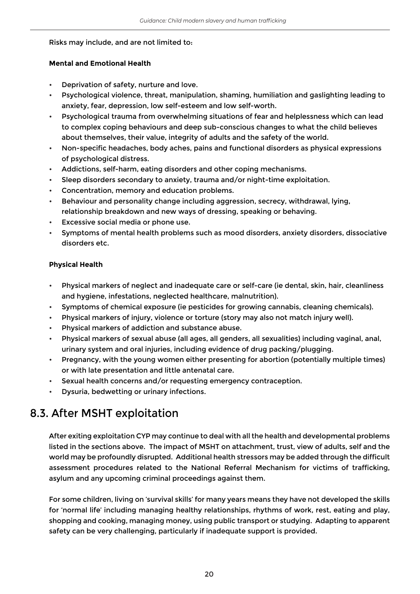#### Risks may include, and are not limited to:

#### **Mental and Emotional Health**

- Deprivation of safety, nurture and love.
- Psychological violence, threat, manipulation, shaming, humiliation and gaslighting leading to anxiety, fear, depression, low self-esteem and low self-worth.
- Psychological trauma from overwhelming situations of fear and helplessness which can lead to complex coping behaviours and deep sub-conscious changes to what the child believes about themselves, their value, integrity of adults and the safety of the world.
- Non-specific headaches, body aches, pains and functional disorders as physical expressions of psychological distress.
- Addictions, self-harm, eating disorders and other coping mechanisms.
- Sleep disorders secondary to anxiety, trauma and/or night-time exploitation.
- Concentration, memory and education problems.
- Behaviour and personality change including aggression, secrecy, withdrawal, lying, relationship breakdown and new ways of dressing, speaking or behaving.
- Excessive social media or phone use.
- Symptoms of mental health problems such as mood disorders, anxiety disorders, dissociative disorders etc.

#### **Physical Health**

- Physical markers of neglect and inadequate care or self-care (ie dental, skin, hair, cleanliness and hygiene, infestations, neglected healthcare, malnutrition).
- Symptoms of chemical exposure (ie pesticides for growing cannabis, cleaning chemicals).
- Physical markers of injury, violence or torture (story may also not match injury well).
- Physical markers of addiction and substance abuse.
- Physical markers of sexual abuse (all ages, all genders, all sexualities) including vaginal, anal, urinary system and oral injuries, including evidence of drug packing/plugging.
- Pregnancy, with the young women either presenting for abortion (potentially multiple times) or with late presentation and little antenatal care.
- Sexual health concerns and/or requesting emergency contraception.
- Dysuria, bedwetting or urinary infections.

### 8.3. After MSHT exploitation

After exiting exploitation CYP may continue to deal with all the health and developmental problems listed in the sections above. The impact of MSHT on attachment, trust, view of adults, self and the world may be profoundly disrupted. Additional health stressors may be added through the difficult assessment procedures related to the National Referral Mechanism for victims of trafficking, asylum and any upcoming criminal proceedings against them.

For some children, living on 'survival skills' for many years means they have not developed the skills for 'normal life' including managing healthy relationships, rhythms of work, rest, eating and play, shopping and cooking, managing money, using public transport or studying. Adapting to apparent safety can be very challenging, particularly if inadequate support is provided.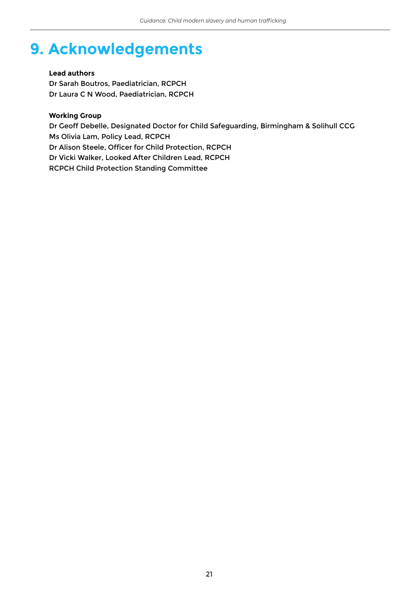## **9. Acknowledgements**

#### **Lead authors**

Dr Sarah Boutros, Paediatrician, RCPCH Dr Laura C N Wood, Paediatrician, RCPCH

#### **Working Group**

Dr Geoff Debelle, Designated Doctor for Child Safeguarding, Birmingham & Solihull CCG Ms Olivia Lam, Policy Lead, RCPCH Dr Alison Steele, Officer for Child Protection, RCPCH Dr Vicki Walker, Looked After Children Lead, RCPCH RCPCH Child Protection Standing Committee